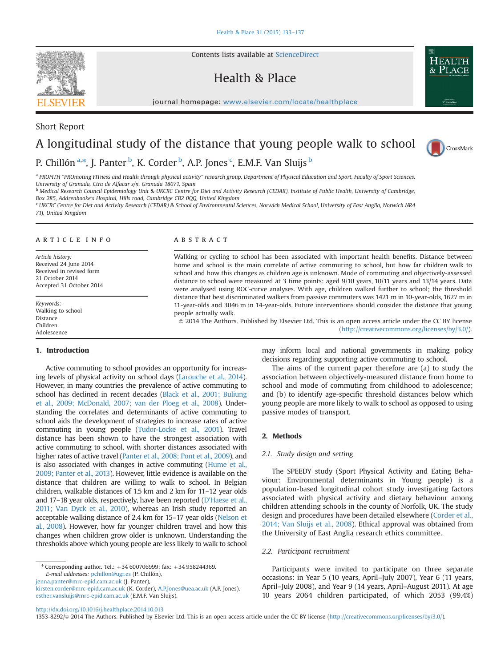Contents lists available at [ScienceDirect](www.sciencedirect.com/science/journal/13538292)

# Health & Place

journal homepage: <www.elsevier.com/locate/healthplace>/healthplace/healthplace/healthplace/healthplace/healthplace/healthplace/healthplace/healthplace/healthplace/healthplace/healthplace/healthplace/healthplace/healthplace

# A longitudinal study of the distance that young people walk to school



P. Chillón <sup>a,\*</sup>, J. Panter <sup>b</sup>, K. Corder <sup>b</sup>, A.P. Jones <sup>c</sup>, E.M.F. Van Sluijs <sup>b</sup>

a PROFITH "PROmoting FITness and Health through physical activity" research group, Department of Physical Education and Sport, Faculty of Sport Sciences, University of Granada, Ctra de Alfacar s/n, Granada 18071, Spain

<sup>b</sup> Medical Research Council Epidemiology Unit & UKCRC Centre for Diet and Activity Research (CEDAR), Institute of Public Health, University of Cambridge, Box 285, Addrenbooke's Hospital, Hills road, Cambridge CB2 0QQ, United Kingdom

<sup>c</sup> UKCRC Centre for Diet and Activity Research (CEDAR) & School of Environmental Sciences, Norwich Medical School, University of East Anglia, Norwich NR4 7TJ, United Kingdom

#### article info

Article history: Received 24 June 2014 Received in revised form 21 October 2014 Accepted 31 October 2014

Keywords: Walking to school Distance Children Adolescence

#### 1. Introduction

Active commuting to school provides an opportunity for increasing levels of physical activity on school days ([Larouche et al., 2014\)](#page-4-0). However, in many countries the prevalence of active commuting to school has declined in recent decades [\(Black et al., 2001; Buliung](#page-4-0) [et al., 2009; McDonald, 2007; van der Ploeg et al., 2008\)](#page-4-0). Understanding the correlates and determinants of active commuting to school aids the development of strategies to increase rates of active commuting in young people [\(Tudor-Locke et al., 2001](#page-4-0)). Travel distance has been shown to have the strongest association with active commuting to school, with shorter distances associated with higher rates of active travel [\(Panter et al., 2008; Pont et al., 2009](#page-4-0)), and is also associated with changes in active commuting [\(Hume et al.,](#page-4-0) [2009; Panter et al., 2013\)](#page-4-0). However, little evidence is available on the distance that children are willing to walk to school. In Belgian children, walkable distances of 1.5 km and 2 km for 11–12 year olds and 17–18 year olds, respectively, have been reported (D'[Haese et al.,](#page-4-0) [2011; Van Dyck et al., 2010\)](#page-4-0), whereas an Irish study reported an acceptable walking distance of 2.4 km for 15–17 year olds [\(Nelson et](#page-4-0) [al., 2008](#page-4-0)). However, how far younger children travel and how this changes when children grow older is unknown. Understanding the thresholds above which young people are less likely to walk to school

[jenna.panter@mrc-epid.cam.ac.uk](mailto:jenna.panter@mrc-epid.cam.ac.uk) (J. Panter),

[kirsten.corder@mrc-epid.cam.ac.uk](mailto:kirsten.corder@mrc-epid.cam.ac.uk) (K. Corder), [A.P.Jones@uea.ac.uk](mailto:A.P.Jones@uea.ac.uk) (A.P. Jones), [esther.vansluijs@mrc-epid.cam.ac.uk](mailto:esther.vansluijs@mrc-epid.cam.ac.uk) (E.M.F. Van Sluijs).

#### **ABSTRACT**

Walking or cycling to school has been associated with important health benefits. Distance between home and school is the main correlate of active commuting to school, but how far children walk to school and how this changes as children age is unknown. Mode of commuting and objectively-assessed distance to school were measured at 3 time points: aged 9/10 years, 10/11 years and 13/14 years. Data were analysed using ROC-curve analyses. With age, children walked further to school; the threshold distance that best discriminated walkers from passive commuters was 1421 m in 10-year-olds, 1627 m in 11-year-olds and 3046 m in 14-year-olds. Future interventions should consider the distance that young people actually walk.

& 2014 The Authors. Published by Elsevier Ltd. This is an open access article under the CC BY license (http://creativecommons.org/licenses/by/3.0/).

> may inform local and national governments in making policy decisions regarding supporting active commuting to school.

> The aims of the current paper therefore are (a) to study the association between objectively-measured distance from home to school and mode of commuting from childhood to adolescence; and (b) to identify age-specific threshold distances below which young people are more likely to walk to school as opposed to using passive modes of transport.

# 2. Methods

#### 2.1. Study design and setting

The SPEEDY study (Sport Physical Activity and Eating Behaviour: Environmental determinants in Young people) is a population-based longitudinal cohort study investigating factors associated with physical activity and dietary behaviour among children attending schools in the county of Norfolk, UK. The study design and procedures have been detailed elsewhere [\(Corder et al.,](#page-4-0) [2014; Van Sluijs et al., 2008\)](#page-4-0). Ethical approval was obtained from the University of East Anglia research ethics committee.

#### 2.2. Participant recruitment

Participants were invited to participate on three separate occasions: in Year 5 (10 years, April–July 2007), Year 6 (11 years, April–July 2008), and Year 9 (14 years, April–August 2011). At age 10 years 2064 children participated, of which 2053 (99.4%)

<http://dx.doi.org/10.1016/j.healthplace.2014.10.013>

1353-8292/& 2014 The Authors. Published by Elsevier Ltd. This is an open access article under the CC BY license (http://creativecommons.org/licenses/by/3.0/).



Short Report

<sup>\*</sup> Corresponding author. Tel.:  $+34 600706999$ ; fax:  $+34 958244369$ . E-mail addresses: [pchillon@ugr.es](mailto:pchillon@ugr.es) (P. Chillón),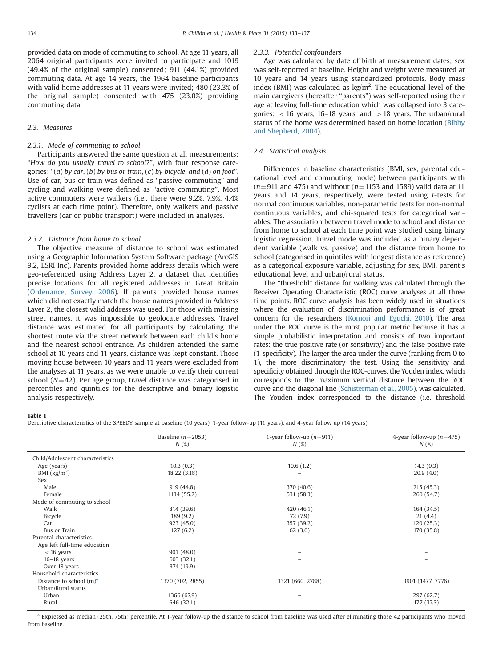<span id="page-1-0"></span>provided data on mode of commuting to school. At age 11 years, all 2064 original participants were invited to participate and 1019 (49.4% of the original sample) consented; 911 (44.1%) provided commuting data. At age 14 years, the 1964 baseline participants with valid home addresses at 11 years were invited; 480 (23.3% of the original sample) consented with 475 (23.0%) providing commuting data.

# 2.3. Measures

#### 2.3.1. Mode of commuting to school

Participants answered the same question at all measurements: "How do you usually travel to school?", with four response categories: "(a) by car, (b) by bus or train, (c) by bicycle, and (d) on foot". Use of car, bus or train was defined as "passive commuting" and cycling and walking were defined as "active commuting". Most active commuters were walkers (i.e., there were 9.2%, 7.9%, 4.4% cyclists at each time point). Therefore, only walkers and passive travellers (car or public transport) were included in analyses.

#### 2.3.2. Distance from home to school

The objective measure of distance to school was estimated using a Geographic Information System Software package (ArcGIS 9.2, ESRI Inc). Parents provided home address details which were geo-referenced using Address Layer 2, a dataset that identifies precise locations for all registered addresses in Great Britain ([Ordenance, Survey, 2006](#page-4-0)). If parents provided house names which did not exactly match the house names provided in Address Layer 2, the closest valid address was used. For those with missing street names, it was impossible to geolocate addresses. Travel distance was estimated for all participants by calculating the shortest route via the street network between each child's home and the nearest school entrance. As children attended the same school at 10 years and 11 years, distance was kept constant. Those moving house between 10 years and 11 years were excluded from the analyses at 11 years, as we were unable to verify their current school ( $N=42$ ). Per age group, travel distance was categorised in percentiles and quintiles for the descriptive and binary logistic analysis respectively.

#### 2.3.3. Potential confounders

Age was calculated by date of birth at measurement dates; sex was self-reported at baseline. Height and weight were measured at 10 years and 14 years using standardized protocols. Body mass index (BMI) was calculated as  $\text{kg/m}^2$ . The educational level of the main caregivers (hereafter "parents") was self-reported using their age at leaving full-time education which was collapsed into 3 categories:  $<$  16 years, 16–18 years, and  $>$  18 years. The urban/rural status of the home was determined based on home location ([Bibby](#page-4-0) [and Shepherd, 2004](#page-4-0)).

### 2.4. Statistical analysis

Differences in baseline characteristics (BMI, sex, parental educational level and commuting mode) between participants with  $(n=911$  and 475) and without ( $n=1153$  and 1589) valid data at 11 years and 14 years, respectively, were tested using t-tests for normal continuous variables, non-parametric tests for non-normal continuous variables, and chi-squared tests for categorical variables. The association between travel mode to school and distance from home to school at each time point was studied using binary logistic regression. Travel mode was included as a binary dependent variable (walk vs. passive) and the distance from home to school (categorised in quintiles with longest distance as reference) as a categorical exposure variable, adjusting for sex, BMI, parent's educational level and urban/rural status.

The "threshold" distance for walking was calculated through the Receiver Operating Characteristic (ROC) curve analyses at all three time points. ROC curve analysis has been widely used in situations where the evaluation of discrimination performance is of great concern for the researchers [\(Komori and Eguchi, 2010\)](#page-4-0). The area under the ROC curve is the most popular metric because it has a simple probabilistic interpretation and consists of two important rates: the true positive rate (or sensitivity) and the false positive rate (1-specificity). The larger the area under the curve (ranking from 0 to 1), the more discriminatory the test. Using the sensitivity and specificity obtained through the ROC-curves, the Youden index, which corresponds to the maximum vertical distance between the ROC curve and the diagonal line [\(Schisterman et al., 2005](#page-4-0)), was calculated. The Youden index corresponded to the distance (i.e. threshold

#### Table 1

Descriptive characteristics of the SPEEDY sample at baseline (10 years), 1-year follow-up (11 years), and 4-year follow up (14 years).

|                                  | Baseline ( $n=2053$ )<br>N(%) | 1-year follow-up $(n=911)$<br>N(%) | 4-year follow-up $(n=475)$<br>N(%) |
|----------------------------------|-------------------------------|------------------------------------|------------------------------------|
| Child/Adolescent characteristics |                               |                                    |                                    |
| Age (years)                      | 10.3(0.3)                     | 10.6(1.2)                          | 14.3(0.3)                          |
| BMI $(kg/m2)$                    | 18.22 (3.18)                  |                                    | 20.9(4.0)                          |
| Sex                              |                               |                                    |                                    |
| Male                             | 919 (44.8)                    | 370 (40.6)                         | 215(45.3)                          |
| Female                           | 1134 (55.2)                   | 531 (58.3)                         | 260 (54.7)                         |
| Mode of commuting to school      |                               |                                    |                                    |
| Walk                             | 814 (39.6)                    | 420(46.1)                          | 164 (34.5)                         |
| Bicycle                          | 189 (9.2)                     | 72 (7.9)                           | 21(4.4)                            |
| Car                              | 923(45.0)                     | 357 (39.2)                         | 120(25.3)                          |
| <b>Bus or Train</b>              | 127(6.2)                      | 62(3.0)                            | 170 (35.8)                         |
| Parental characteristics         |                               |                                    |                                    |
| Age left full-time education     |                               |                                    |                                    |
| $<$ 16 years                     | 901(48.0)                     |                                    |                                    |
| $16-18$ years                    | 603 (32.1)                    |                                    |                                    |
| Over 18 years                    | 374 (19.9)                    |                                    |                                    |
| Household characteristics        |                               |                                    |                                    |
| Distance to school $(m)^a$       | 1370 (702, 2855)              | 1321 (660, 2788)                   | 3901 (1477, 7776)                  |
| Urban/Rural status               |                               |                                    |                                    |
| Urban                            | 1366 (67.9)                   |                                    | 297 (62.7)                         |
| Rural                            | 646 (32.1)                    |                                    | 177 (37.3)                         |

<sup>a</sup> Expressed as median (25th, 75th) percentile. At 1-year follow-up the distance to school from baseline was used after eliminating those 42 participants who moved from baseline.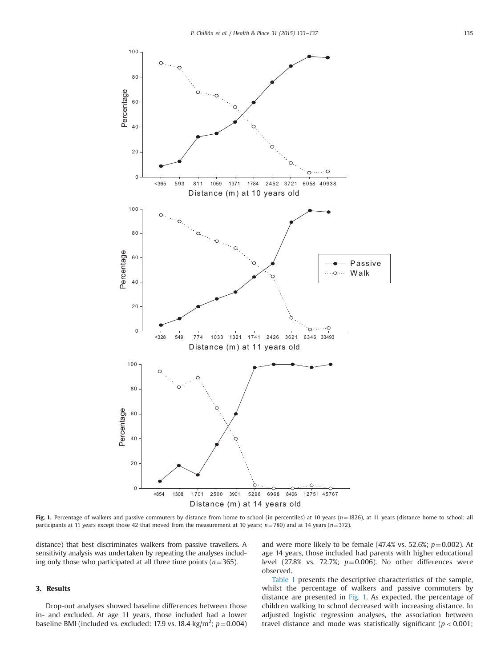

Fig. 1. Percentage of walkers and passive commuters by distance from home to school (in percentiles) at 10 years ( $n=1826$ ), at 11 years (distance home to school: all participants at 11 years except those 42 that moved from the measurement at 10 years;  $n=780$ ) and at 14 years ( $n=372$ ).

distance) that best discriminates walkers from passive travellers. A sensitivity analysis was undertaken by repeating the analyses including only those who participated at all three time points ( $n=365$ ).

#### 3. Results

Drop-out analyses showed baseline differences between those in- and excluded. At age 11 years, those included had a lower baseline BMI (included vs. excluded: 17.9 vs. 18.4 kg/m<sup>2</sup>;  $p$  = 0.004)

and were more likely to be female  $(47.4\% \text{ vs. } 52.6\%; p=0.002)$ . At age 14 years, those included had parents with higher educational level (27.8% vs. 72.7%;  $p=0.006$ ). No other differences were observed.

[Table 1](#page-1-0) presents the descriptive characteristics of the sample, whilst the percentage of walkers and passive commuters by distance are presented in Fig. 1. As expected, the percentage of children walking to school decreased with increasing distance. In adjusted logistic regression analyses, the association between travel distance and mode was statistically significant ( $p < 0.001$ ;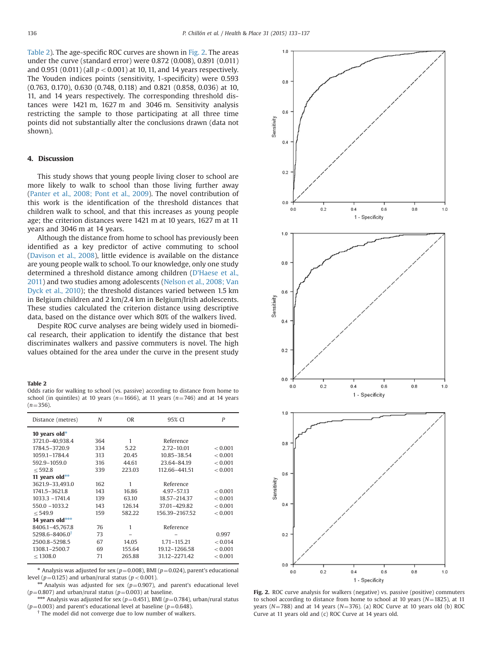Table 2). The age-specific ROC curves are shown in Fig. 2. The areas under the curve (standard error) were 0.872 (0.008), 0.891 (0.011) and 0.951 (0.011) (all  $p < 0.001$ ) at 10, 11, and 14 years respectively. The Youden indices points (sensitivity, 1-specificity) were 0.593 (0.763, 0.170), 0.630 (0.748, 0.118) and 0.821 (0.858, 0.036) at 10, 11, and 14 years respectively. The corresponding threshold distances were 1421 m, 1627 m and 3046 m. Sensitivity analysis restricting the sample to those participating at all three time points did not substantially alter the conclusions drawn (data not shown).

#### 4. Discussion

This study shows that young people living closer to school are more likely to walk to school than those living further away ([Panter et al., 2008; Pont et al., 2009\)](#page-4-0). The novel contribution of this work is the identification of the threshold distances that children walk to school, and that this increases as young people age; the criterion distances were 1421 m at 10 years, 1627 m at 11 years and 3046 m at 14 years.

Although the distance from home to school has previously been identified as a key predictor of active commuting to school ([Davison et al., 2008](#page-4-0)), little evidence is available on the distance are young people walk to school. To our knowledge, only one study determined a threshold distance among children (D'[Haese et al.,](#page-4-0) [2011\)](#page-4-0) and two studies among adolescents ([Nelson et al., 2008; Van](#page-4-0) [Dyck et al., 2010\)](#page-4-0); the threshold distances varied between 1.5 km in Belgium children and 2 km/2.4 km in Belgium/Irish adolescents. These studies calculated the criterion distance using descriptive data, based on the distance over which 80% of the walkers lived.

Despite ROC curve analyses are being widely used in biomedical research, their application to identify the distance that best discriminates walkers and passive commuters is novel. The high values obtained for the area under the curve in the present study

#### Table 2

Odds ratio for walking to school (vs. passive) according to distance from home to school (in quintiles) at 10 years ( $n=1666$ ), at 11 years ( $n=746$ ) and at 14 years  $(n=356)$ .

| Distance (metres)              | N   | <b>OR</b> | 95% CI         | P       |
|--------------------------------|-----|-----------|----------------|---------|
| 10 years old $*$               |     |           |                |         |
| 3721.0-40.938.4                | 364 | 1         | Reference      |         |
| 1784.5-3720.9                  | 334 | 5.22      | $2.72 - 10.01$ | < 0.001 |
| 1059.1-1784.4                  | 313 | 20.45     | 10.85-38.54    | < 0.001 |
| 592.9-1059.0                   | 316 | 44.61     | 23.64-84.19    | < 0.001 |
| < 592.8                        | 339 | 223.03    | 112.66-441.51  | < 0.001 |
| 11 years old**                 |     |           |                |         |
| 3621.9-33.493.0                | 162 | 1         | Reference      |         |
| 1741.5-3621.8                  | 143 | 16.86     | 4.97-57.13     | < 0.001 |
| 1033.3 - 1741.4                | 139 | 63.10     | 18.57-214.37   | < 0.001 |
| 550.0 -1033.2                  | 143 | 126.14    | 37.01-429.82   | < 0.001 |
| < 549.9                        | 159 | 582.22    | 156.39-2167.52 | < 0.001 |
| 14 years old***                |     |           |                |         |
| 8406.1-45,767.8                | 76  | 1         | Reference      |         |
| $5298.6 - 8406.0$ <sup>t</sup> | 73  |           |                | 0.997   |
| 2500.8-5298.5                  | 67  | 14.05     | 1.71-115.21    | < 0.014 |
| 1308.1-2500.7                  | 69  | 155.64    | 19.12-1266.58  | < 0.001 |
| $<$ 1308.0                     | 71  | 265.88    | 31.12-2271.42  | < 0.001 |

\* Analysis was adjusted for sex ( $p=0.008$ ), BMI ( $p=0.024$ ), parent's educational level ( $p=0.125$ ) and urban/rural status ( $p < 0.001$ ).

<sup>\*\*</sup> Analysis was adjusted for sex (p=0.907), and parent's educational level (p=0.807) and urban/rural status (p=0.003) at baseline.

<sup>\*\*\*</sup> Analysis was adjusted for sex (p=0.451), BMI (p=0.784), urban/rural status (p=0.003) and parent's educational level at baseline (p=0.648).

The model did not converge due to low number of walkers.



Fig. 2. ROC curve analysis for walkers (negative) vs. passive (positive) commuters to school according to distance from home to school at 10 years ( $N=1825$ ), at 11 years ( $N=788$ ) and at 14 years ( $N=376$ ). (a) ROC Curve at 10 years old (b) ROC Curve at 11 years old and (c) ROC Curve at 14 years old.